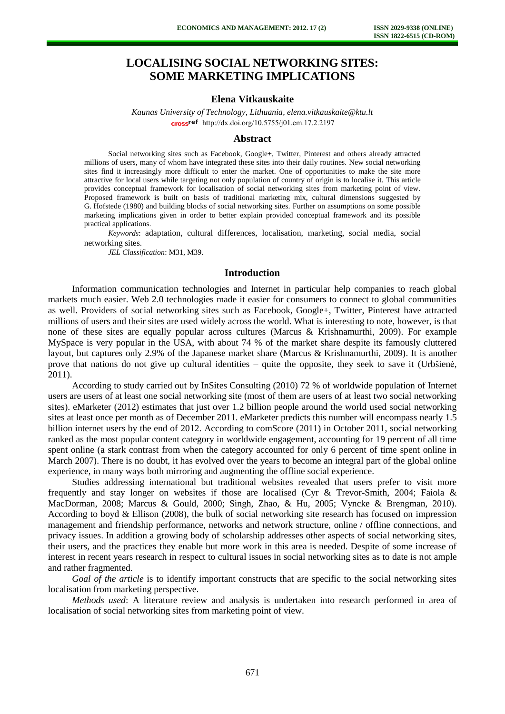# **LOCALISING SOCIAL NETWORKING SITES: SOME MARKETING IMPLICATIONS**

# **Elena Vitkauskaite**

*Kaunas University of Technology, Lithuania, elena.vitkauskaite@ktu.lt* cross<sup>ref</sup> [http://dx.doi.org/10.5755/j01.e](http://dx.doi.org/10.5755/j01.em.17.2.2197)m.17.2.2197

#### **Abstract**

Social networking sites such as Facebook, Google+, Twitter, Pinterest and others already attracted millions of users, many of whom have integrated these sites into their daily routines. New social networking sites find it increasingly more difficult to enter the market. One of opportunities to make the site more attractive for local users while targeting not only population of country of origin is to localise it. This article provides conceptual framework for localisation of social networking sites from marketing point of view. Proposed framework is built on basis of traditional marketing mix, cultural dimensions suggested by G. Hofstede (1980) and building blocks of social networking sites. Further on assumptions on some possible marketing implications given in order to better explain provided conceptual framework and its possible practical applications.

*Keywords*: adaptation, cultural differences, localisation, marketing, social media, social networking sites.

*JEL Classification*: M31, M39.

## **Introduction**

Information communication technologies and Internet in particular help companies to reach global markets much easier. Web 2.0 technologies made it easier for consumers to connect to global communities as well. Providers of social networking sites such as Facebook, Google+, Twitter, Pinterest have attracted millions of users and their sites are used widely across the world. What is interesting to note, however, is that none of these sites are equally popular across cultures (Marcus & Krishnamurthi, 2009). For example MySpace is very popular in the USA, with about 74 % of the market share despite its famously cluttered layout, but captures only 2.9% of the Japanese market share (Marcus & Krishnamurthi, 2009). It is another prove that nations do not give up cultural identities – quite the opposite, they seek to save it (Urbšienė, 2011).

According to study carried out by InSites Consulting (2010) 72 % of worldwide population of Internet users are users of at least one social networking site (most of them are users of at least two social networking sites). eMarketer (2012) estimates that just over 1.2 billion people around the world used social networking sites at least once per month as of December 2011. eMarketer predicts this number will encompass nearly 1.5 billion internet users by the end of 2012. According to comScore (2011) in October 2011, social networking ranked as the most popular content category in worldwide engagement, accounting for 19 percent of all time spent online (a stark contrast from when the category accounted for only 6 percent of time spent online in March 2007). There is no doubt, it has evolved over the years to become an integral part of the global online experience, in many ways both mirroring and augmenting the offline social experience.

Studies addressing international but traditional websites revealed that users prefer to visit more frequently and stay longer on websites if those are localised (Cyr & Trevor-Smith, 2004; Faiola & MacDorman, 2008; Marcus & Gould, 2000; Singh, Zhao, & Hu, 2005; Vyncke & Brengman, 2010). According to boyd & Ellison (2008), the bulk of social networking site research has focused on impression management and friendship performance, networks and network structure, online / offline connections, and privacy issues. In addition a growing body of scholarship addresses other aspects of social networking sites, their users, and the practices they enable but more work in this area is needed. Despite of some increase of interest in recent years research in respect to cultural issues in social networking sites as to date is not ample and rather fragmented.

*Goal of the article* is to identify important constructs that are specific to the social networking sites localisation from marketing perspective.

*Methods used*: A literature review and analysis is undertaken into research performed in area of localisation of social networking sites from marketing point of view.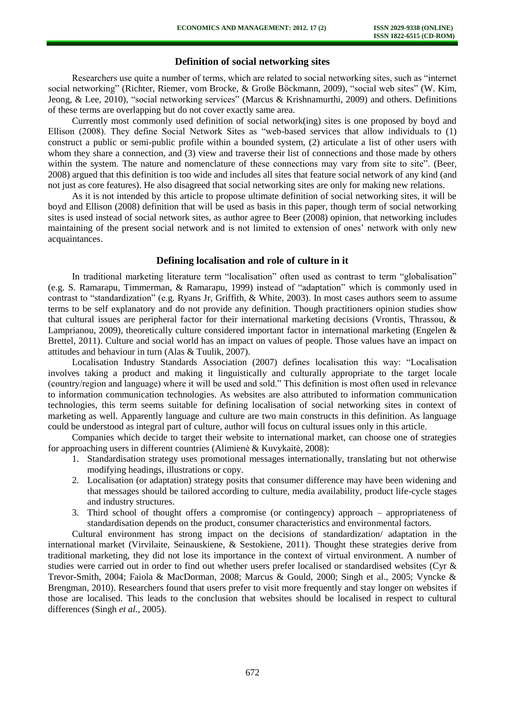# **Definition of social networking sites**

Researchers use quite a number of terms, which are related to social networking sites, such as "internet social networking" (Richter, Riemer, vom Brocke, & Große Böckmann, 2009), "social web sites" (W. Kim, Jeong, & Lee, 2010), "social networking services" (Marcus & Krishnamurthi, 2009) and others. Definitions of these terms are overlapping but do not cover exactly same area.

Currently most commonly used definition of social network(ing) sites is one proposed by boyd and Ellison (2008). They define Social Network Sites as "web-based services that allow individuals to (1) construct a public or semi-public profile within a bounded system, (2) articulate a list of other users with whom they share a connection, and (3) view and traverse their list of connections and those made by others within the system. The nature and nomenclature of these connections may vary from site to site". (Beer, 2008) argued that this definition is too wide and includes all sites that feature social network of any kind (and not just as core features). He also disagreed that social networking sites are only for making new relations.

As it is not intended by this article to propose ultimate definition of social networking sites, it will be boyd and Ellison (2008) definition that will be used as basis in this paper, though term of social networking sites is used instead of social network sites, as author agree to Beer (2008) opinion, that networking includes maintaining of the present social network and is not limited to extension of ones' network with only new acquaintances.

### **Defining localisation and role of culture in it**

In traditional marketing literature term "localisation" often used as contrast to term "globalisation" (e.g. S. Ramarapu, Timmerman, & Ramarapu, 1999) instead of "adaptation" which is commonly used in contrast to "standardization" (e.g. Ryans Jr, Griffith, & White, 2003). In most cases authors seem to assume terms to be self explanatory and do not provide any definition. Though practitioners opinion studies show that cultural issues are peripheral factor for their international marketing decisions (Vrontis, Thrassou, & Lamprianou, 2009), theoretically culture considered important factor in international marketing (Engelen & Brettel, 2011). Culture and social world has an impact on values of people. Those values have an impact on attitudes and behaviour in turn (Alas & Tuulik, 2007).

Localisation Industry Standards Association (2007) defines localisation this way: "Localisation involves taking a product and making it linguistically and culturally appropriate to the target locale (country/region and language) where it will be used and sold." This definition is most often used in relevance to information communication technologies. As websites are also attributed to information communication technologies, this term seems suitable for defining localisation of social networking sites in context of marketing as well. Apparently language and culture are two main constructs in this definition. As language could be understood as integral part of culture, author will focus on cultural issues only in this article.

Companies which decide to target their website to international market, can choose one of strategies for approaching users in different countries (Alimienė & Kuvykaitė, 2008):

- 1. Standardisation strategy uses promotional messages internationally, translating but not otherwise modifying headings, illustrations or copy.
- 2. Localisation (or adaptation) strategy posits that consumer difference may have been widening and that messages should be tailored according to culture, media availability, product life-cycle stages and industry structures.
- 3. Third school of thought offers a compromise (or contingency) approach appropriateness of standardisation depends on the product, consumer characteristics and environmental factors.

Cultural environment has strong impact on the decisions of standardization/ adaptation in the international market (Virvilaite, Seinauskiene, & Sestokiene, 2011). Thought these strategies derive from traditional marketing, they did not lose its importance in the context of virtual environment. A number of studies were carried out in order to find out whether users prefer localised or standardised websites (Cyr & Trevor-Smith, 2004; Faiola & MacDorman, 2008; Marcus & Gould, 2000; Singh et al., 2005; Vyncke & Brengman, 2010). Researchers found that users prefer to visit more frequently and stay longer on websites if those are localised. This leads to the conclusion that websites should be localised in respect to cultural differences (Singh *et al.*, 2005).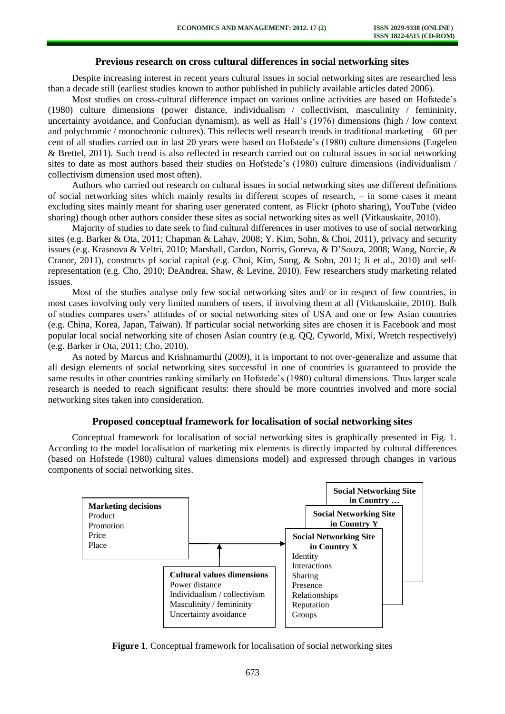## **Previous research on cross cultural differences in social networking sites**

Despite increasing interest in recent years cultural issues in social networking sites are researched less than a decade still (earliest studies known to author published in publicly available articles dated 2006).

Most studies on cross-cultural difference impact on various online activities are based on Hofstede's (1980) culture dimensions (power distance, individualism / collectivism, masculinity / femininity, uncertainty avoidance, and Confucian dynamism), as well as Hall's (1976) dimensions (high / low context and polychromic / monochronic cultures). This reflects well research trends in traditional marketing – 60 per cent of all studies carried out in last 20 years were based on Hofstede's (1980) culture dimensions (Engelen & Brettel, 2011). Such trend is also reflected in research carried out on cultural issues in social networking sites to date as most authors based their studies on Hofstede's (1980) culture dimensions (individualism / collectivism dimension used most often).

Authors who carried out research on cultural issues in social networking sites use different definitions of social networking sites which mainly results in different scopes of research, – in some cases it meant excluding sites mainly meant for sharing user generated content, as Flickr (photo sharing), YouTube (video sharing) though other authors consider these sites as social networking sites as well (Vitkauskaite, 2010).

Majority of studies to date seek to find cultural differences in user motives to use of social networking sites (e.g. Barker & Ota, 2011; Chapman & Lahav, 2008; Y. Kim, Sohn, & Choi, 2011), privacy and security issues (e.g. Krasnova & Veltri, 2010; Marshall, Cardon, Norris, Goreva, & D'Souza, 2008; Wang, Norcie, & Cranor, 2011), constructs pf social capital (e.g. Choi, Kim, Sung, & Sohn, 2011; Ji et al., 2010) and selfrepresentation (e.g. Cho, 2010; DeAndrea, Shaw, & Levine, 2010). Few researchers study marketing related issues.

Most of the studies analyse only few social networking sites and/ or in respect of few countries, in most cases involving only very limited numbers of users, if involving them at all (Vitkauskaite, 2010). Bulk of studies compares users' attitudes of or social networking sites of USA and one or few Asian countries (e.g. China, Korea, Japan, Taiwan). If particular social networking sites are chosen it is Facebook and most popular local social networking site of chosen Asian country (e.g. QQ, Cyworld, Mixi, Wretch respectively) (e.g. Barker ir Ota, 2011; Cho, 2010).

As noted by Marcus and Krishnamurthi (2009), it is important to not over-generalize and assume that all design elements of social networking sites successful in one of countries is guaranteed to provide the same results in other countries ranking similarly on Hofstede's (1980) cultural dimensions. Thus larger scale research is needed to reach significant results: there should be more countries involved and more social networking sites taken into consideration.

#### **Proposed conceptual framework for localisation of social networking sites**

Conceptual framework for localisation of social networking sites is graphically presented in Fig. 1. According to the model localisation of marketing mix elements is directly impacted by cultural differences (based on Hofstede (1980) cultural values dimensions model) and expressed through changes in various components of social networking sites.



**Figure 1**. Conceptual framework for localisation of social networking sites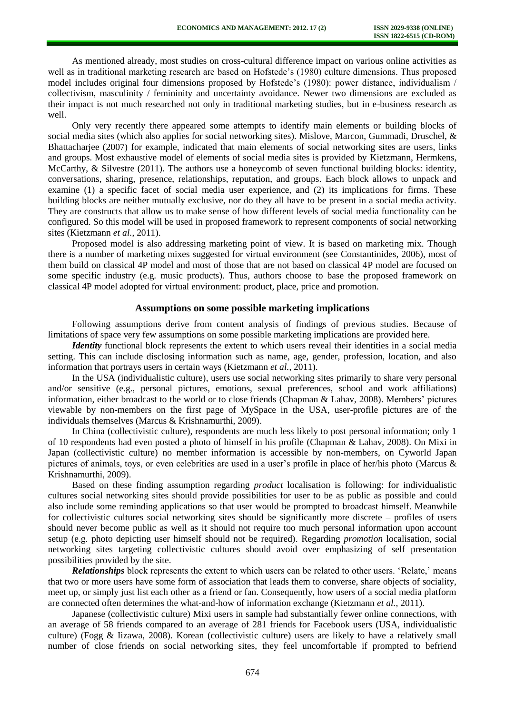As mentioned already, most studies on cross-cultural difference impact on various online activities as well as in traditional marketing research are based on Hofstede's (1980) culture dimensions. Thus proposed model includes original four dimensions proposed by Hofstede's (1980): power distance, individualism / collectivism, masculinity / femininity and uncertainty avoidance. Newer two dimensions are excluded as their impact is not much researched not only in traditional marketing studies, but in e-business research as well.

Only very recently there appeared some attempts to identify main elements or building blocks of social media sites (which also applies for social networking sites). Mislove, Marcon, Gummadi, Druschel, & Bhattacharjee (2007) for example, indicated that main elements of social networking sites are users, links and groups. Most exhaustive model of elements of social media sites is provided by Kietzmann, Hermkens, McCarthy, & Silvestre (2011). The authors use a honeycomb of seven functional building blocks: identity, conversations, sharing, presence, relationships, reputation, and groups. Each block allows to unpack and examine (1) a specific facet of social media user experience, and (2) its implications for firms. These building blocks are neither mutually exclusive, nor do they all have to be present in a social media activity. They are constructs that allow us to make sense of how different levels of social media functionality can be configured. So this model will be used in proposed framework to represent components of social networking sites (Kietzmann *et al.*, 2011).

Proposed model is also addressing marketing point of view. It is based on marketing mix. Though there is a number of marketing mixes suggested for virtual environment (see Constantinides, 2006), most of them build on classical 4P model and most of those that are not based on classical 4P model are focused on some specific industry (e.g. music products). Thus, authors choose to base the proposed framework on classical 4P model adopted for virtual environment: product, place, price and promotion.

#### **Assumptions on some possible marketing implications**

Following assumptions derive from content analysis of findings of previous studies. Because of limitations of space very few assumptions on some possible marketing implications are provided here.

*Identity* functional block represents the extent to which users reveal their identities in a social media setting. This can include disclosing information such as name, age, gender, profession, location, and also information that portrays users in certain ways (Kietzmann *et al.*, 2011).

In the USA (individualistic culture), users use social networking sites primarily to share very personal and/or sensitive (e.g., personal pictures, emotions, sexual preferences, school and work affiliations) information, either broadcast to the world or to close friends (Chapman & Lahav, 2008). Members' pictures viewable by non-members on the first page of MySpace in the USA, user-profile pictures are of the individuals themselves (Marcus & Krishnamurthi, 2009).

In China (collectivistic culture), respondents are much less likely to post personal information; only 1 of 10 respondents had even posted a photo of himself in his profile (Chapman & Lahav, 2008). On Mixi in Japan (collectivistic culture) no member information is accessible by non-members, on Cyworld Japan pictures of animals, toys, or even celebrities are used in a user's profile in place of her/his photo (Marcus & Krishnamurthi, 2009).

Based on these finding assumption regarding *product* localisation is following: for individualistic cultures social networking sites should provide possibilities for user to be as public as possible and could also include some reminding applications so that user would be prompted to broadcast himself. Meanwhile for collectivistic cultures social networking sites should be significantly more discrete – profiles of users should never become public as well as it should not require too much personal information upon account setup (e.g. photo depicting user himself should not be required). Regarding *promotion* localisation, social networking sites targeting collectivistic cultures should avoid over emphasizing of self presentation possibilities provided by the site.

*Relationships* block represents the extent to which users can be related to other users. 'Relate,' means that two or more users have some form of association that leads them to converse, share objects of sociality, meet up, or simply just list each other as a friend or fan. Consequently, how users of a social media platform are connected often determines the what-and-how of information exchange (Kietzmann *et al.*, 2011).

Japanese (collectivistic culture) Mixi users in sample had substantially fewer online connections, with an average of 58 friends compared to an average of 281 friends for Facebook users (USA, individualistic culture) (Fogg & Iizawa, 2008). Korean (collectivistic culture) users are likely to have a relatively small number of close friends on social networking sites, they feel uncomfortable if prompted to befriend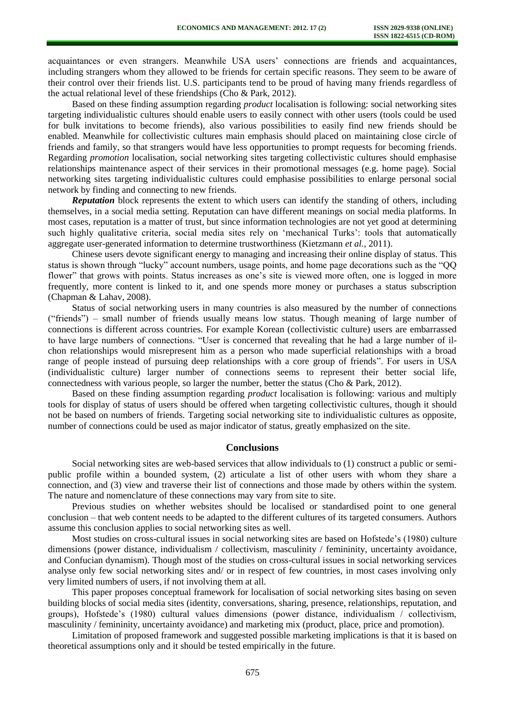acquaintances or even strangers. Meanwhile USA users' connections are friends and acquaintances, including strangers whom they allowed to be friends for certain specific reasons. They seem to be aware of their control over their friends list. U.S. participants tend to be proud of having many friends regardless of the actual relational level of these friendships (Cho & Park, 2012).

Based on these finding assumption regarding *product* localisation is following: social networking sites targeting individualistic cultures should enable users to easily connect with other users (tools could be used for bulk invitations to become friends), also various possibilities to easily find new friends should be enabled. Meanwhile for collectivistic cultures main emphasis should placed on maintaining close circle of friends and family, so that strangers would have less opportunities to prompt requests for becoming friends. Regarding *promotion* localisation, social networking sites targeting collectivistic cultures should emphasise relationships maintenance aspect of their services in their promotional messages (e.g. home page). Social networking sites targeting individualistic cultures could emphasise possibilities to enlarge personal social network by finding and connecting to new friends.

*Reputation* block represents the extent to which users can identify the standing of others, including themselves, in a social media setting. Reputation can have different meanings on social media platforms. In most cases, reputation is a matter of trust, but since information technologies are not yet good at determining such highly qualitative criteria, social media sites rely on 'mechanical Turks': tools that automatically aggregate user-generated information to determine trustworthiness (Kietzmann *et al.*, 2011).

Chinese users devote significant energy to managing and increasing their online display of status. This status is shown through "lucky" account numbers, usage points, and home page decorations such as the "QQ flower" that grows with points. Status increases as one's site is viewed more often, one is logged in more frequently, more content is linked to it, and one spends more money or purchases a status subscription (Chapman & Lahav, 2008).

Status of social networking users in many countries is also measured by the number of connections ("friends") – small number of friends usually means low status. Though meaning of large number of connections is different across countries. For example Korean (collectivistic culture) users are embarrassed to have large numbers of connections. "User is concerned that revealing that he had a large number of ilchon relationships would misrepresent him as a person who made superficial relationships with a broad range of people instead of pursuing deep relationships with a core group of friends". For users in USA (individualistic culture) larger number of connections seems to represent their better social life, connectedness with various people, so larger the number, better the status (Cho & Park, 2012).

Based on these finding assumption regarding *product* localisation is following: various and multiply tools for display of status of users should be offered when targeting collectivistic cultures, though it should not be based on numbers of friends. Targeting social networking site to individualistic cultures as opposite, number of connections could be used as major indicator of status, greatly emphasized on the site.

#### **Conclusions**

Social networking sites are web-based services that allow individuals to (1) construct a public or semipublic profile within a bounded system, (2) articulate a list of other users with whom they share a connection, and (3) view and traverse their list of connections and those made by others within the system. The nature and nomenclature of these connections may vary from site to site.

Previous studies on whether websites should be localised or standardised point to one general conclusion – that web content needs to be adapted to the different cultures of its targeted consumers. Authors assume this conclusion applies to social networking sites as well.

Most studies on cross-cultural issues in social networking sites are based on Hofstede's (1980) culture dimensions (power distance, individualism / collectivism, masculinity / femininity, uncertainty avoidance, and Confucian dynamism). Though most of the studies on cross-cultural issues in social networking services analyse only few social networking sites and/ or in respect of few countries, in most cases involving only very limited numbers of users, if not involving them at all.

This paper proposes conceptual framework for localisation of social networking sites basing on seven building blocks of social media sites (identity, conversations, sharing, presence, relationships, reputation, and groups), Hofstede's (1980) cultural values dimensions (power distance, individualism / collectivism, masculinity / femininity, uncertainty avoidance) and marketing mix (product, place, price and promotion).

Limitation of proposed framework and suggested possible marketing implications is that it is based on theoretical assumptions only and it should be tested empirically in the future.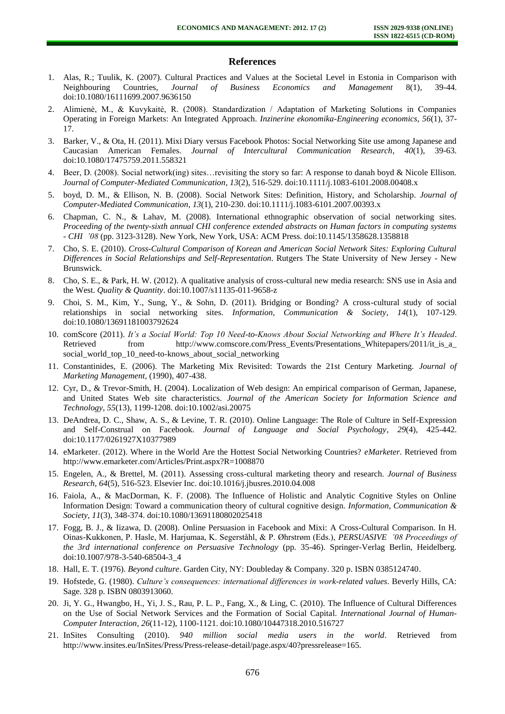## **References**

- 1. Alas, R.; Tuulik, K. (2007). Cultural Practices and Values at the Societal Level in Estonia in Comparison with Neighbouring Countries, *Journal of Business Economics and Management* 8(1), 39-44. doi:10.1080/16111699.2007.9636150
- 2. Alimienė, M., & Kuvykaitė, R. (2008). Standardization / Adaptation of Marketing Solutions in Companies Operating in Foreign Markets: An Integrated Approach. *Inzinerine ekonomika-Engineering economics*, *56*(1), 37- 17.
- 3. Barker, V., & Ota, H. (2011). Mixi Diary versus Facebook Photos: Social Networking Site use among Japanese and Caucasian American Females. *Journal of Intercultural Communication Research*, *40*(1), 39-63. doi:10.1080/17475759.2011.558321
- 4. Beer, D. (2008). Social network(ing) sites…revisiting the story so far: A response to danah boyd & Nicole Ellison. *Journal of Computer-Mediated Communication*, *13*(2), 516-529. doi:10.1111/j.1083-6101.2008.00408.x
- 5. boyd, D. M., & Ellison, N. B. (2008). Social Network Sites: Definition, History, and Scholarship. *Journal of Computer-Mediated Communication*, *13*(1), 210-230. doi:10.1111/j.1083-6101.2007.00393.x
- 6. Chapman, C. N., & Lahav, M. (2008). International ethnographic observation of social networking sites. *Proceeding of the twenty-sixth annual CHI conference extended abstracts on Human factors in computing systems - CHI '08* (pp. 3123-3128). New York, New York, USA: ACM Press. doi:10.1145/1358628.1358818
- 7. Cho, S. E. (2010). *Cross-Cultural Comparison of Korean and American Social Network Sites: Exploring Cultural Differences in Social Relationships and Self-Representation*. Rutgers The State University of New Jersey - New Brunswick.
- 8. Cho, S. E., & Park, H. W. (2012). A qualitative analysis of cross-cultural new media research: SNS use in Asia and the West. *Quality & Quantity*. doi:10.1007/s11135-011-9658-z
- 9. Choi, S. M., Kim, Y., Sung, Y., & Sohn, D. (2011). Bridging or Bonding? A cross-cultural study of social relationships in social networking sites. *Information, Communication & Society*, *14*(1), 107-129. doi:10.1080/13691181003792624
- 10. comScore (2011). *It's a Social World: Top 10 Need-to-Knows About Social Networking and Where It's Headed*. Retrieved from http://www.comscore.com/Press\_Events/Presentations\_Whitepapers/2011/it\_is\_a\_ social\_world\_top\_10\_need-to-knows\_about\_social\_networking
- 11. Constantinides, E. (2006). The Marketing Mix Revisited: Towards the 21st Century Marketing. *Journal of Marketing Management*, (1990), 407-438.
- 12. Cyr, D., & Trevor-Smith, H. (2004). Localization of Web design: An empirical comparison of German, Japanese, and United States Web site characteristics. *Journal of the American Society for Information Science and Technology*, *55*(13), 1199-1208. doi:10.1002/asi.20075
- 13. DeAndrea, D. C., Shaw, A. S., & Levine, T. R. (2010). Online Language: The Role of Culture in Self-Expression and Self-Construal on Facebook. *Journal of Language and Social Psychology*, *29*(4), 425-442. doi:10.1177/0261927X10377989
- 14. eMarketer. (2012). Where in the World Are the Hottest Social Networking Countries? *eMarketer*. Retrieved from http://www.emarketer.com/Articles/Print.aspx?R=1008870
- 15. Engelen, A., & Brettel, M. (2011). Assessing cross-cultural marketing theory and research. *Journal of Business Research*, *64*(5), 516-523. Elsevier Inc. doi:10.1016/j.jbusres.2010.04.008
- 16. Faiola, A., & MacDorman, K. F. (2008). The Influence of Holistic and Analytic Cognitive Styles on Online Information Design: Toward a communication theory of cultural cognitive design. *Information, Communication & Society*, *11*(3), 348-374. doi:10.1080/13691180802025418
- 17. Fogg, B. J., & Iizawa, D. (2008). Online Persuasion in Facebook and Mixi: A Cross-Cultural Comparison. In H. Oinas-Kukkonen, P. Hasle, M. Harjumaa, K. Segerståhl, & P. Øhrstrøm (Eds.), *PERSUASIVE '08 Proceedings of the 3rd international conference on Persuasive Technology* (pp. 35-46). Springer-Verlag Berlin, Heidelberg. doi:10.1007/978-3-540-68504-3\_4
- 18. Hall, E. T. (1976). *Beyond culture*. Garden City, NY: Doubleday & Company. 320 p. ISBN 0385124740.
- 19. Hofstede, G. (1980). *Culture's consequences: international differences in work-related values*. Beverly Hills, CA: Sage. 328 p. ISBN 0803913060.
- 20. Ji, Y. G., Hwangbo, H., Yi, J. S., Rau, P. L. P., Fang, X., & Ling, C. (2010). The Influence of Cultural Differences on the Use of Social Network Services and the Formation of Social Capital. *International Journal of Human-Computer Interaction*, *26*(11-12), 1100-1121. doi:10.1080/10447318.2010.516727
- 21. InSites Consulting (2010). *940 million social media users in the world*. Retrieved from http://www.insites.eu/InSites/Press/Press-release-detail/page.aspx/40?pressrelease=165.